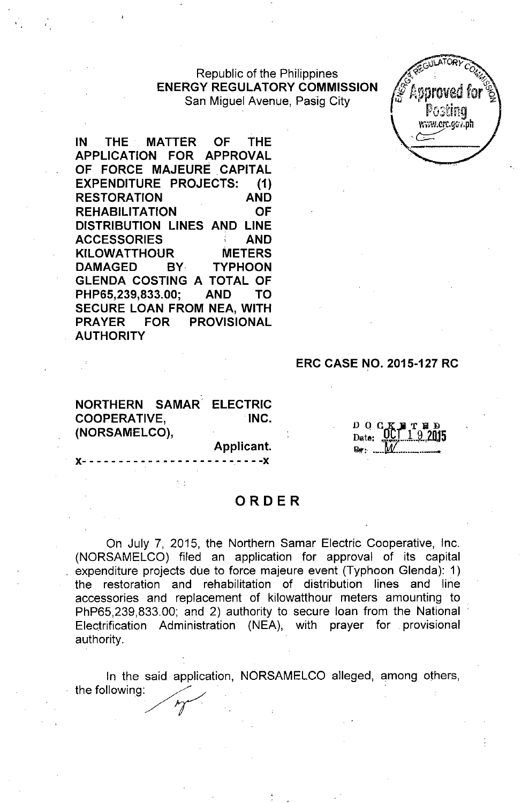#### Republic of the Philippines **ENERGY REGULATORY COMMISSION** San Miguel Avenue, Pasig City



**IN THE MATTER OF THE APPLICATION FOR APPROVAL OF FORCE MAJEURE. CAPITAL EXPENDITURE PROJECTS: (1) RESTORATION AND REHABILITATION OF DISTRIBUTION LINES AND LINE ACCESSORIES AND KILOWATTHOUR METERS DAMAGED BY TYPHOON GLENDA COSTING A TOTAL OF PHPG5,239,833.00; AND TO SECURE LOAN FROM NEA, WITH PRAYER FOR PROVISIONAL AUTHORITY**

### **ERC CASE NO. 2015-127 RC**

**NORTHERN SAMAR' ELECTRIC COOPERATIVE, INC. (NORSAMELCO),**

x-*------------------------*x

 $D$  Q  $C$   $K$   $H$   $T$   $H$   $E$ <br>nate: 000  $1$  9 20  $19.2015$ Date:

## **ORDER**

**Applicant.**

On July 7, 2015, the Northern Samar Electric Cooperative, Inc. (NORSAMELCO) filed an application for approval of its capital expenditure projects due to force majeure event (Typhoon Glenda): 1) the restoration and rehabilitation of distribution lines and line accessories and replacement of kilowatthour meters amounting to PhP65,239,833.00; and 2) authority to secure loan from the National Electrification Administration (NEA), with prayer for .provisional authority.

In the said application, NORSAMELCO alleged, among others, the following: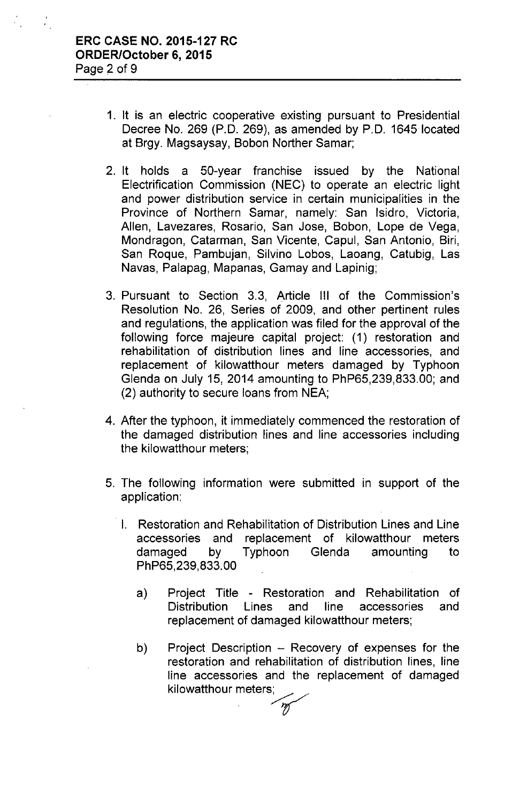- 1. It is an electric cooperative existing pursuant to Presidential Decree No. 269 (P.D. 269), as amended by P.D. 1645 located at Brgy. Magsaysay, Bobon Norther Samar;
- 2. It holds a 50-year franchise issued by the National Electrification Commission (NEC) to operate an electric light and power distribution service in certain municipalities in the Province of Northern Samar, namely: San Isidro, Victoria, Allen, Lavezares, Rosario, San Jose, Sobon, Lope de Vega, Mondragon, Catarman, San Vicente, Capul, San Antonio, Siri, San Roque, Pambujan, Silvino Lobos, Laoang, Catubig, Las Navas, Palapag, Mapanas, Gamay and Lapinig;
- 3. Pursuant to Section 3.3, Article III of the Commission's Resolution No. 26, Series of 2009, and other pertinent rules and regulations, the application was filed for the approval of the following force majeure capital project: (1) restoration and rehabilitation of distribution lines and line accessories, and replacement of kilowatthour meters damaged by Typhoon Glenda on July 15, 2014 amounting to PhP65,239,833.00; and (2) authority to secure loans from NEA;
- 4. After the typhoon, it immediately commenced the restoration of the damaged distribution lines and line accessories including the kilowatthour meters;
- 5. The following information were submitted in support of the application:
	- I. Restoration and Rehabilitation of Distribution Lines and Line accessories and replacement of kilowatthour meters damaged by Typhoon Glenda amounting to PhP65,239,833.00
		- a) Project Title Restoration and Rehabilitation of Distribution Lines and line accessories and replacement of damaged kilowatthour meters;
		- b) Project Description Recovery of expenses for the restoration and rehabilitation of distribution lines, line line accessories and the replacement of damaged kilowatthour meters;

 $\eta$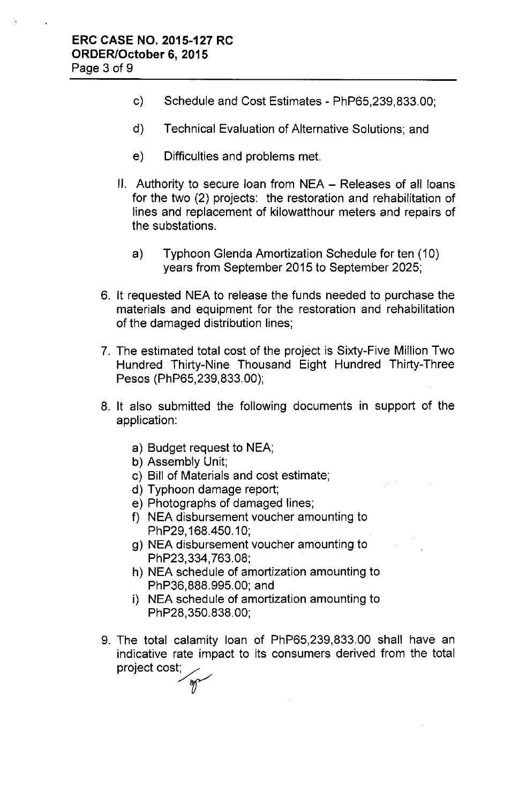- c) Schedule and Cost Estimates PhP65.239.833.00;
- d) Technical Evaluation of Alternative Solutions; and
- e) Difficulties and problems met.
- II. Authority to secure loan from  $NEA ReleaseS$  of all loans for the two (2) projects: the restoration and rehabilitation of lines and replacement of kilowatthour meters and repairs of the substations.
	- a) Typhoon Glenda Amortization Schedule for ten (10) years from September 2015 to September 2025;
- 6. It requested NEA to release the funds needed to purchase the materials and equipment for the restoration and rehabilitation of the damaged distribution lines;
- 7. The estimated total cost of the project is Sixty-Five Million Two Hundred Thirty-Nine Thousand Eight Hundred Thirty-Three Pesos (PhP65.239,833.00);
- 8. It also submitted the following documents in support of the application:
	- a) Budget request to NEA;
	- b) Assembly Unit;
	- c) Bill of Materials and cost estimate;
	- d) Typhoon damage report;
	- e) Photographs of damaged lines;
	- f) NEA disbursement voucher amounting to PhP29,168.450.10;
	- g) NEA disbursement voucher amounting to PhP23,334.763.08;
	- h) NEA schedule of amortization amounting to PhP36,888.995.00; and
	- i) NEA schedule of amortization amounting to PhP28,350.838.00;
- 9. The total calamity loan of PhP65,239,833.00 shall have an indicative rate impact to its consumers derived from the total project cost; *»r*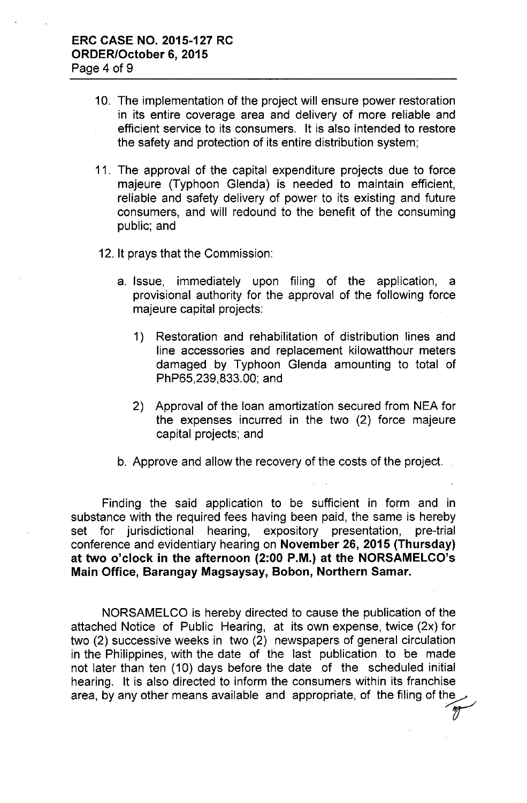- 10. The implementation of the project will ensure power restoration in its entire coverage area and delivery of more reliable and efficient service to its consumers. It is also intended to restore the safety and protection of its entire distribution system;
- 11. The approval of the capital expenditure projects due to force majeure (Typhoon Glenda) is needed to maintain efficient, reliable and safety delivery of power to its existing and future consumers, and will redound to the benefit of the consuming public; and
- 12. It prays that the Commission:
	- a. Issue, immediately upon filing of the application, a provisional authority for the approval of the following force majeure capital projects:
		- 1) Restoration and rehabilitation of distribution lines and line accessories and replacement kilowatthour meters damaged by Typhoon Glenda amounting to total of PhP65,239,833.00; and
		- 2) Approval of the loan amortization secured from NEA for the expenses incurred in the two (2) force majeure capital projects; and
	- b. Approve and allow the recovery of the costs of the project.

Finding the said application to be sufficient in form and in substance with the required fees having been paid, the same is hereby set for jurisdictional hearing, expository presentation, pre-trial conference and evidentiary hearing on **November 26,2015 (Thursday) at two o'clock in the afternoon (2:00 P.M.) at the NORSAMELCO's Main Office, Barangay Magsaysay, Bobon, Northern Samar.**

NORSAMELCO is hereby directed to cause the publication of the attached Notice of Public Hearing, at its own expense, twice (2x) for two (2) successive weeks in two (2) newspapers of general circulation in the Philippines, with the date of the last publication to be made not later than ten (10) days before the date of the scheduled initial hearing. It is also directed to inform the consumers within its franchise area, by any other means available and appropriate, of the filing of the

*/tr*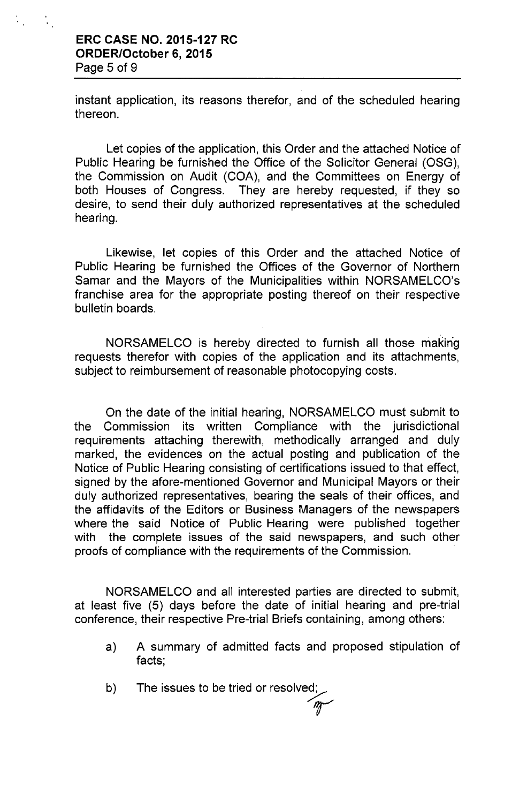### **ERC CASE NO. 2015-127 RC ORDER/October 6, 2015** Page 5 of 9

instant application, its reasons therefor, and of the scheduled hearing thereon.

Let copies of the application, this Order and the attached Notice of Public Hearing be furnished the Office of the Solicitor General (OSG), the Commission on Audit (COA), and the Committees on Energy of both Houses of Congress. They are hereby requested, if they so desire, to send their duly authorized representatives at the scheduled hearing.

Likewise, let copies of this Order and the attached Notice of Public Hearing be furnished the Offices of the Governor of Northern Samar and the Mayors of the Municipalities within NORSAMELCO's franchise area for the appropriate posting thereof on their respective bulletin boards.

NORSAMELCO is hereby directed to furnish all those making requests therefor with copies of the application and its attachments, subject to reimbursement of reasonable photocopying costs.

On the date of the initial hearing, NORSAMELCO must submit to the Commission its written Compliance with the jurisdictional requirements attaching therewith, methodically arranged and duly marked, the evidences on the actual posting and publication of the Notice of Public Hearing consisting of certifications issued to that effect, signed by the afore-mentioned Governor and Municipal Mayors or their duly authorized representatives, bearing the seals of their offices, and the affidavits of the Editors or Business Managers of the newspapers where the said Notice of Public Hearing were published together with the complete issues of the said newspapers, and such other proofs of compliance with the requirements of the Commission.

NORSAMELCO and all interested parties are directed to submit, at least five (5) days before the date of initial hearing and pre-trial conference, their respective Pre-trial Briefs containing, among others:

a) A summary of admitted facts and proposed stipulation of facts;

'r"

b) The issues to be tried or resolvec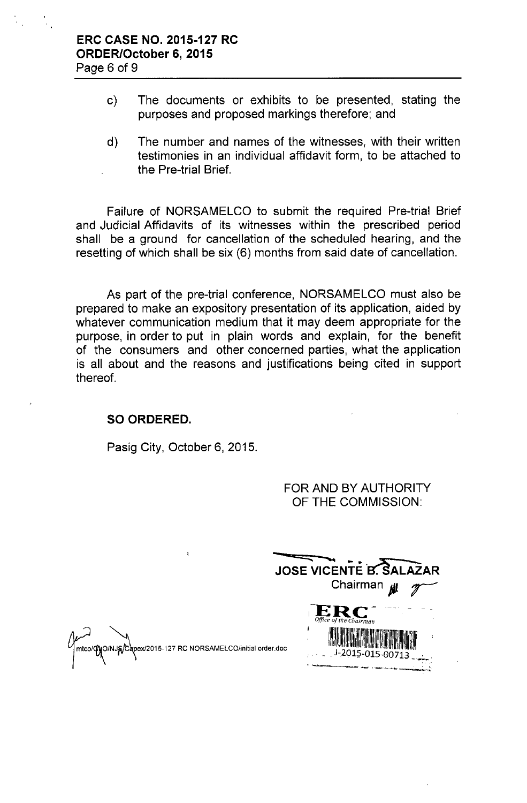- c) The documents or exhibits to be presented, stating the purposes and proposed markings therefore; and
- d) The number and names of the witnesses, with their written testimonies in an individual affidavit form, to be attached to the Pre-trial Brief.

Failure of NORSAMELCO to submit the required Pre-trial Brief and Judicial Affidavits of its witnesses within the prescribed period shall be a ground for cancellation of the scheduled hearing, and the resetting of which shall be six (6) months from said date of cancellation.

As part of the pre-trial conference, NORSAMELCO must also be prepared to make an expository presentation of its application, aided by whatever communication medium that it may deem appropriate for the purpose, in order to put in plain words and explain, for the benefit of the consumers and other concerned parties, what the application is all about and the reasons and justifications being cited in support thereof.

### **SO ORDERED.**

Pasig City, October 6, 2015.

FOR AND BY AUTHORITY OF THE COMMISSION:

**ENTE B. SALAZAR**<br>Chairman *M. a* **-** JOSE VICENTE B. SALA**ZA**  $-$ J-2015-015-00713

mtco/GyO/NJ&Capex/2015-127 RC NORSAMELCO/initial order.doc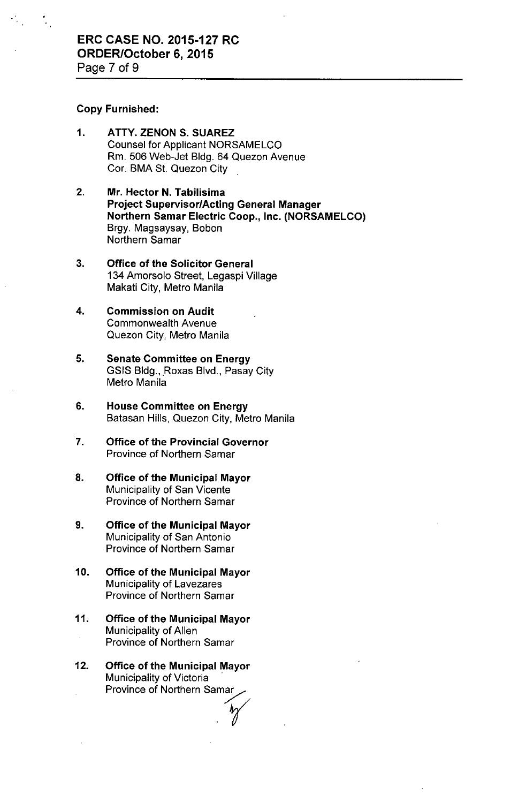#### Copy Furnished:

- 1. ATTY. ZENON S. SUAREZ Counsel for Applicant NORSAMELCO Rm. 506 Web-Jet Bldg. 64 Quezon Avenue Cor. BMA St. Quezon City .
- 2. Mr. Hector N. Tabilisima Project Supervisor/Acting General Manager Northern Samar Electric Coop., Inc. (NORSAMELCO) Brgy. Magsaysay, Bobon Northern Samar
- 3. Office of the Solicitor General 134 Amorsolo Street, Legaspi Village Makati City, Metro Manila
- 4. Commission on Audit Commonwealth Avenue Quezon City, Metro Manila
- 5. Senate Committee on Energy GSIS Bldg., Roxas Blvd., Pasay City Metro Manila
- 6. House Committee on Energy Batasan Hills, Quezon City, Metro Manila
- 7. Office of the Provincial Governor Province of Northern Samar
- 8. Office of the Municipal Mayor Municipality of San Vicente Province of Northern Samar
- 9. Office of the Municipal Mayor Municipality of San Antonio Province of Northern Samar
- 10. Office of the Municipal Mayor Municipality of Lavezares Province of Northern Samar
- 11. Office of the Municipal Mayor Municipality of Allen Province of Northern Samar
- 12. Office of the Municipal Mayor Municipality of Victoria Province of Northern Samar mar<br>.*r*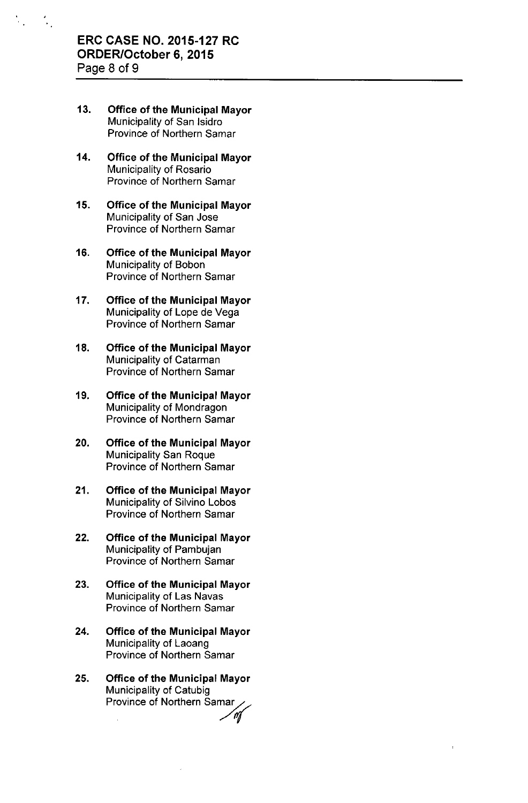- **13. Office of the Municipal Mayor** Municipality of San Isidro Province of Northern Samar
- **14. Office of the Municipal Mayor** Municipality of Rosario Province of Northern Samar
- **15. Office of the Municipal Mayor** Municipality of San Jose Province of Northern Samar
- **16. Office of the Municipal Mayor** Municipality of Bobon Province of Northern Samar
- **17. Office of the Municipal Mayor** Municipality of Lope de Vega Province of Northern Samar
- **18. Office of the Municipal Mayor** Municipality of Catarman Province of Northern Samar
- **19. Office of the Municipal Mayor** Municipality of Mondragon Province of Northern Samar
- **20. Office of the Municipal Mayor** Municipality San Roque Province of Northern Samar
- **21. Office of the Municipal Mayor** Municipality of Silvino Lobos Province of Northern Samar
- **22. Office of the Municipal Mayor** Municipality of Pambujan Province of Northern Samar
- **23. Office of the Municipal Mayor** Municipality of Las Navas Province of Northern Samar
- **24. Office of the Municipal Mayor** Municipality of Laoang Province of Northern Samar
- **25. Office of the Municipal Mayor** Municipality of Catubig Province of Northern Samar